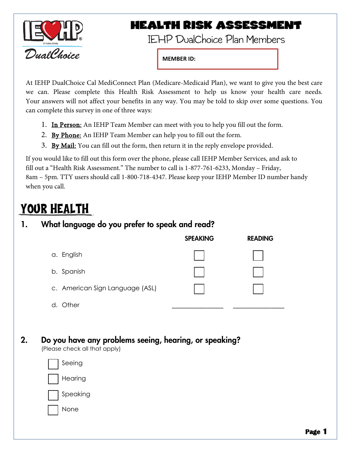

### **HEALTH RISK ASSESSMENT**

-

**MEMBER ID:**

At IEHP DualChoice Cal MediConnect Plan (Medicare-Medicaid Plan), we want to give you the best care we can. Please complete this Health Risk Assessment to help us know your health care needs. Your answers will not affect your benefits in any way. You may be told to skip over some questions. You can complete this survey in one of three ways:

- 1. In Person: An IEHP Team Member can meet with you to help you fill out the form.
- 2. By Phone: An IEHP Team Member can help you to fill out the form.
- 3. By Mail: You can fill out the form, then return it in the reply envelope provided.

If you would like to fill out this form over the phone, please call IEHP Member Services, and ask to fill out a "Health Risk Assessment." The number to call is 1-877-761-6233, Monday – Friday, 8am – 5pm. TTY users should call 1-800-718-4347. Please keep your IEHP Member ID number handy when you call.

## YOUR HEALTH

### 1. What language do you prefer to speak and read?

|                                 | <b>SPEAKING</b> | <b>READING</b> |
|---------------------------------|-----------------|----------------|
| a. English                      |                 |                |
| b. Spanish                      |                 |                |
| c. American Sign Language (ASL) |                 |                |
| Other                           |                 |                |

2. Do you have any problems seeing, hearing, or speaking?

(Please check all that apply)

| Seeing   |
|----------|
| Hearing  |
| Speaking |
| None     |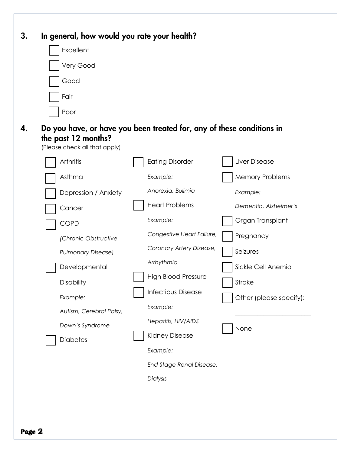| 3. | In general, how would you rate your health?                                                                                   |                            |                         |
|----|-------------------------------------------------------------------------------------------------------------------------------|----------------------------|-------------------------|
|    | Excellent                                                                                                                     |                            |                         |
|    | Very Good                                                                                                                     |                            |                         |
|    | Good                                                                                                                          |                            |                         |
|    | Fair                                                                                                                          |                            |                         |
|    | Poor                                                                                                                          |                            |                         |
| 4. | Do you have, or have you been treated for, any of these conditions in<br>the past 12 months?<br>(Please check all that apply) |                            |                         |
|    | Arthritis                                                                                                                     | <b>Eating Disorder</b>     | Liver Disease           |
|    | Asthma                                                                                                                        | Example:                   | <b>Memory Problems</b>  |
|    | Depression / Anxiety                                                                                                          | Anorexia, Bulimia          | Example:                |
|    | Cancer                                                                                                                        | <b>Heart Problems</b>      | Dementia, Alzheimer's   |
|    | <b>COPD</b>                                                                                                                   | Example:                   | Organ Transplant        |
|    | (Chronic Obstructive                                                                                                          | Congestive Heart Failure,  | Pregnancy               |
|    | <b>Pulmonary Disease)</b>                                                                                                     | Coronary Artery Disease,   | Seizures                |
|    | Developmental                                                                                                                 | Arrhythmia                 | Sickle Cell Anemia      |
|    | Disability                                                                                                                    | <b>High Blood Pressure</b> | Stroke                  |
|    | Example:                                                                                                                      | <b>Infectious Disease</b>  | Other (please specify): |
|    | Autism, Cerebral Palsy,                                                                                                       | Example:                   |                         |
|    | Down's Syndrome                                                                                                               | Hepatitis, HIV/AIDS        | None                    |
|    | Diabetes                                                                                                                      | <b>Kidney Disease</b>      |                         |
|    |                                                                                                                               | Example:                   |                         |
|    |                                                                                                                               | End Stage Renal Disease,   |                         |
|    |                                                                                                                               | Dialysis                   |                         |
|    |                                                                                                                               |                            |                         |
|    |                                                                                                                               |                            |                         |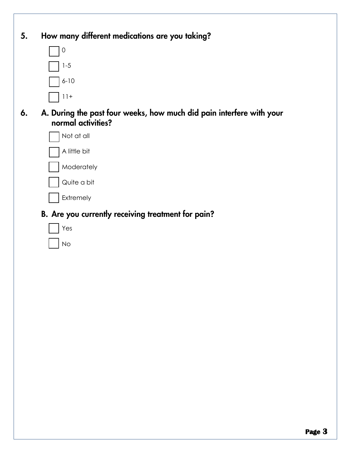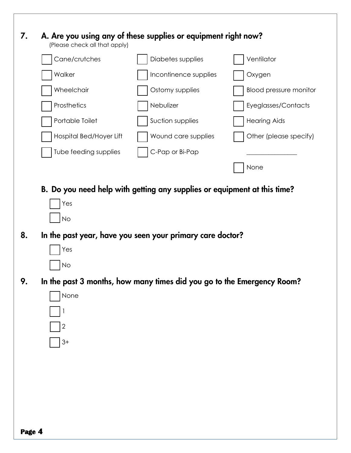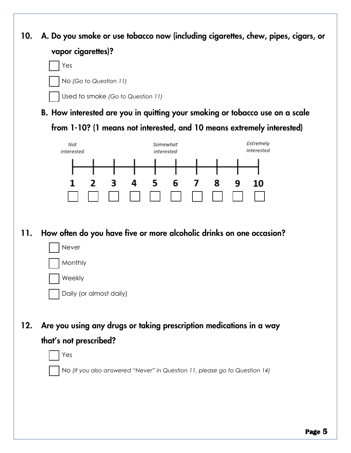10. A. Do you smoke or use tobacco now (including cigarettes, chew, pipes, cigars, or vapor cigarettes)?



B. How interested are you in quitting your smoking or tobacco use on a scale from 1-10? (1 means not interested, and 10 means extremely interested)



### 11. How often do you have five or more alcoholic drinks on one occasion?



12. Are you using any drugs or taking prescription medications in a way that's not prescribed?



*t.* No *(If you also answered "Never" in Question 11, please go to Question 14)*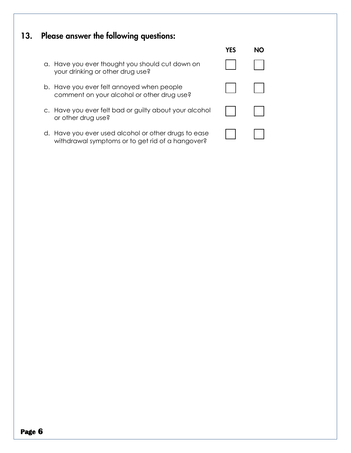### 13. Please answer the following questions:

- a. Have you ever thought you should cut down on your drinking or other drug use?
- b. Have you ever felt annoyed when people comment on your alcohol or other drug use?
- c. Have you ever felt bad or guilty about your alcohol or other drug use?
- d. Have you ever used alcohol or other drugs to ease withdrawal symptoms or to get rid of a hangover?

| <b>YES</b> | <b>NO</b> |
|------------|-----------|
|            |           |
|            |           |
|            |           |
|            |           |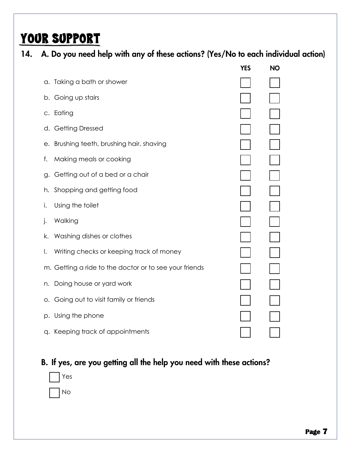# YOUR SUPPORT

|  |  |  |  |  | 14. A. Do you need help with any of these actions? (Yes/No to each individual action) |
|--|--|--|--|--|---------------------------------------------------------------------------------------|
|--|--|--|--|--|---------------------------------------------------------------------------------------|

|    |                                                        | <b>YES</b> | <b>NO</b> |
|----|--------------------------------------------------------|------------|-----------|
|    | a. Taking a bath or shower                             |            |           |
|    | b. Going up stairs                                     |            |           |
|    | c. Eating                                              |            |           |
|    | d. Getting Dressed                                     |            |           |
|    | e. Brushing teeth, brushing hair, shaving              |            |           |
| f. | Making meals or cooking                                |            |           |
| g. | Getting out of a bed or a chair                        |            |           |
| h. | Shopping and getting food                              |            |           |
| i. | Using the toilet                                       |            |           |
| j. | Walking                                                |            |           |
| k. | Washing dishes or clothes                              |            |           |
| Ι. | Writing checks or keeping track of money               |            |           |
|    | m. Getting a ride to the doctor or to see your friends |            |           |
| n. | Doing house or yard work                               |            |           |
| O. | Going out to visit family or friends                   |            |           |
|    | p. Using the phone                                     |            |           |
|    | q. Keeping track of appointments                       |            |           |
|    |                                                        |            |           |

### B. If yes, are you getting all the help you need with these actions?

| 'es |
|-----|
| ┐   |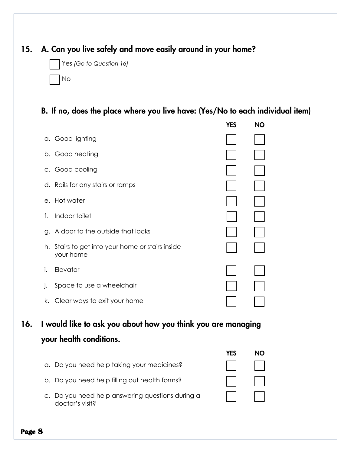### 15. A. Can you live safely and move easily around in your home?

|  | Yes (Go to Question 16) |  |
|--|-------------------------|--|
|  | $\Box$ No               |  |

#### B. If no, does the place where you live have: (Yes/No to each individual item)

|    |                                                            | YES | <b>NO</b> |
|----|------------------------------------------------------------|-----|-----------|
|    | a. Good lighting                                           |     |           |
|    | b. Good heating                                            |     |           |
|    | c. Good cooling                                            |     |           |
|    | d. Rails for any stairs or ramps                           |     |           |
|    | e. Hot water                                               |     |           |
| f. | Indoor toilet                                              |     |           |
| g. | A door to the outside that locks                           |     |           |
| h. | Stairs to get into your home or stairs inside<br>your home |     |           |
| i. | Elevator                                                   |     |           |
| j. | Space to use a wheelchair                                  |     |           |
| k. | Clear ways to exit your home                               |     |           |
|    |                                                            |     |           |

16. I would like to ask you about how you think you are managing your health conditions.

|                                                                     | YFS |  |
|---------------------------------------------------------------------|-----|--|
| a. Do you need help taking your medicines?                          |     |  |
| b. Do you need help filling out health forms?                       |     |  |
| c. Do you need help answering questions during a<br>doctor's visit? |     |  |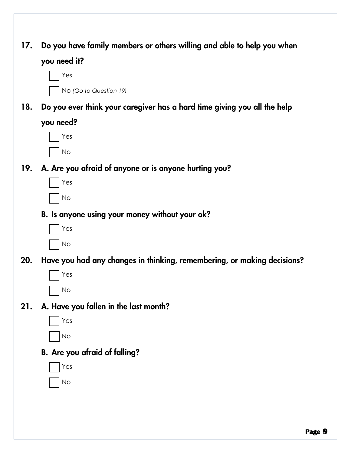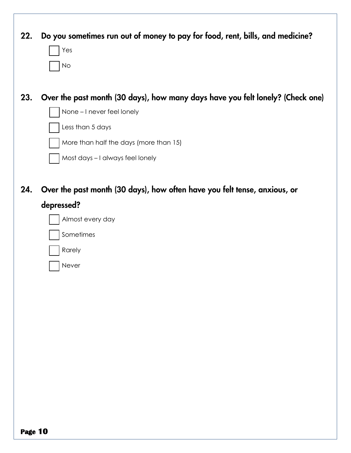| 22. | Do you sometimes run out of money to pay for food, rent, bills, and medicine?<br>Yes<br>No                                                                                                                     |
|-----|----------------------------------------------------------------------------------------------------------------------------------------------------------------------------------------------------------------|
| 23. | Over the past month (30 days), how many days have you felt lonely? (Check one)<br>None - I never feel lonely<br>Less than 5 days<br>More than half the days (more than 15)<br>Most days - I always feel lonely |
| 24. | Over the past month (30 days), how often have you felt tense, anxious, or<br>depressed?<br>Almost every day<br>Sometimes<br>Rarely<br>Never                                                                    |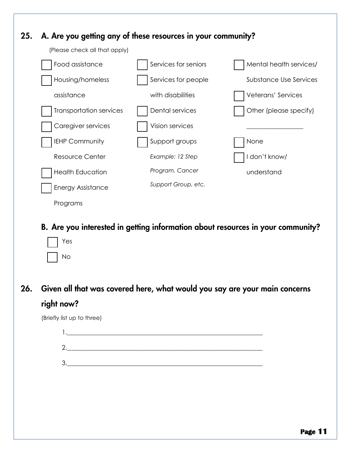

#### B. Are you interested in getting information about resources in your community?

- Yes s. No
- 26. Given all that was covered here, what would you say are your main concerns right now?

(Briefly list up to three)

 $1.$ 2.\_\_\_\_\_\_\_\_\_\_\_\_\_\_\_\_\_\_\_\_\_\_\_\_\_\_\_\_\_\_\_\_\_\_\_\_\_\_\_\_\_\_\_\_\_\_\_\_\_\_\_\_\_\_\_\_\_\_\_\_\_\_  $3.$